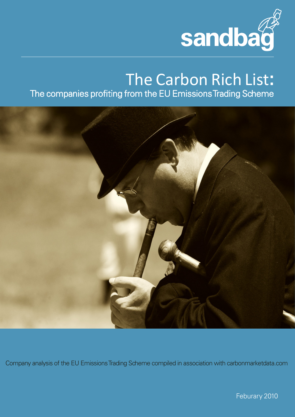

# The Carbon Rich List**:** The companies profiting from the EU Emissions Trading Scheme



Company analysis of the EU Emissions Trading Scheme compiled in association with carbonmarketdata.com

Feburary 2010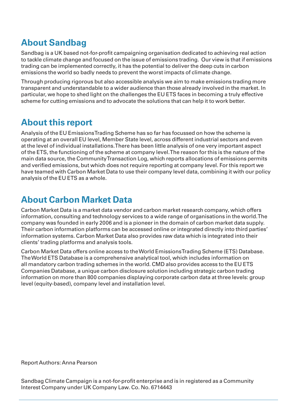## **About Sandbag**

Sandbag is a UK based not-for-profit campaigning organisation dedicated to achieving real action to tackle climate change and focused on the issue of emissions trading. Our view is that if emissions trading can be implemented correctly, it has the potential to deliver the deep cuts in carbon emissions the world so badly needs to prevent the worst impacts of climate change.

Through producing rigorous but also accessible analysis we aim to make emissions trading more transparent and understandable to a wider audience than those already involved in the market. In particular, we hope to shed light on the challenges the EU ETS faces in becoming a truly effective scheme for cutting emissions and to advocate the solutions that can help it to work better.

## **About this report**

Analysis of the EU Emissions Trading Scheme has so far has focussed on how the scheme is operating at an overall EU level, Member State level, across different industrial sectors and even at the level of individual installations. There has been little analysis of one very important aspect of the ETS, the functioning of the scheme at company level. The reason for this is the nature of the main data source, the Community Transaction Log, which reports allocations of emissions permits and verified emissions, but which does not require reporting at company level. For this report we have teamed with Carbon Market Data to use their company level data, combining it with our policy analysis of the EU ETS as a whole.

## **About Carbon Market Data**

Carbon Market Data is a market data vendor and carbon market research company, which offers information, consulting and technology services to a wide range of organisations in the world. The company was founded in early 2006 and is a pioneer in the domain of carbon market data supply. Their carbon information platforms can be accessed online or integrated directly into third parties' information systems. Carbon Market Data also provides raw data which is integrated into their clients' trading platforms and analysis tools.

Carbon Market Data offers online access to the World Emissions Trading Scheme (ETS) Database. The World ETS Database is a comprehensive analytical tool, which includes information on all mandatory carbon trading schemes in the world. CMD also provides access to the EU ETS Companies Database, a unique carbon disclosure solution including strategic carbon trading information on more than 800 companies displaying corporate carbon data at three levels: group level (equity-based), company level and installation level.

Report Authors: Anna Pearson

Sandbag Climate Campaign is a not-for-profit enterprise and is in registered as a Community Interest Company under UK Company Law. Co. No. 6714443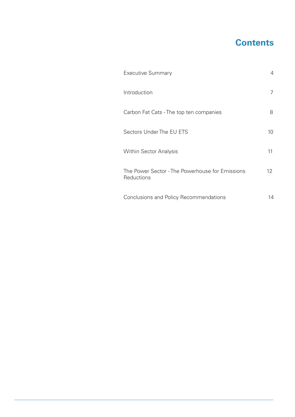## **Contents**

| <b>Executive Summary</b>                                      | 4  |
|---------------------------------------------------------------|----|
| Introduction                                                  | 7  |
| Carbon Fat Cats - The top ten companies                       | 8  |
| Sectors Under The EU ETS                                      | 10 |
| <b>Within Sector Analysis</b>                                 | 11 |
| The Power Sector - The Powerhouse for Emissions<br>Reductions | 12 |
| Conclusions and Policy Recommendations                        | 14 |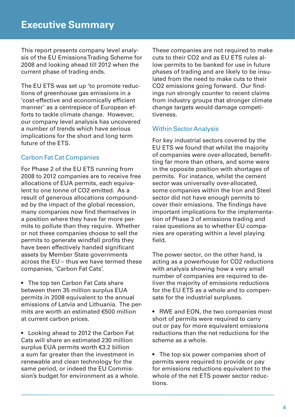This report presents company level analysis of the EU Emissions Trading Scheme for 2008 and looking ahead till 2012 when the current phase of trading ends.

The EU ETS was set up 'to promote reductions of greenhouse gas emissions in a 'cost-effective and economically efficient manner' as a centrepiece of European efforts to tackle climate change. However, our company level analysis has uncovered a number of trends which have serious implications for the short and long term future of the ETS.

### Carbon Fat Cat Companies

For Phase 2 of the EU ETS running from 2008 to 2012 companies are to receive free allocations of EUA permits, each equivalent to one tonne of CO2 emitted. As a result of generous allocations compounded by the impact of the global recession, many companies now find themselves in a position where they have far more permits to pollute than they require. Whether or not these companies choose to sell the permits to generate windfall profits they have been effectively handed significant assets by Member State governments across the EU – thus we have termed these companies, 'Carbon Fat Cats'.

• The top ten Carbon Fat Cats share between them 35 million surplus EUA permits in 2008 equivalent to the annual emissions of Latvia and Lithuania. The permits are worth an estimated €500 million at current carbon prices.

• Looking ahead to 2012 the Carbon Fat Cats will share an estimated 230 million surplus EUA permits worth €3.2 billion a sum far greater than the investment in renewable and clean technology for the same period, or indeed the EU Commission's budget for environment as a whole. These companies are not required to make cuts to their CO2 and as EU ETS rules allow permits to be banked for use in future phases of trading and are likely to be insulated from the need to make cuts to their CO2 emissions going forward. Our findings run strongly counter to recent claims from industry groups that stronger climate change targets would damage competitiveness.

### Within Sector Analysis

For key industrial sectors covered by the EU ETS we found that whilst the majority of companies were over-allocated, benefitting far more than others, and some were in the opposite position with shortages of permits. For instance, whilst the cement sector was universally over-allocated, some companies within the Iron and Steel sector did not have enough permits to cover their emissions. The findings have important implications for the implementation of Phase 3 of emissions trading and raise questions as to whether EU companies are operating within a level playing field.

The power sector, on the other hand, is acting as a powerhouse for CO2 reductions with analysis showing how a very small number of companies are required to deliver the majority of emissions reductions for the EU ETS as a whole and to compensate for the industrial surpluses.

• RWE and EON, the two companies most short of permits were required to carry out or pay for more equivalent emissions reductions than the net reductions for the scheme as a whole.

• The top six power companies short of permits were required to provide or pay for emissions reductions equivalent to the whole of the net ETS power sector reductions.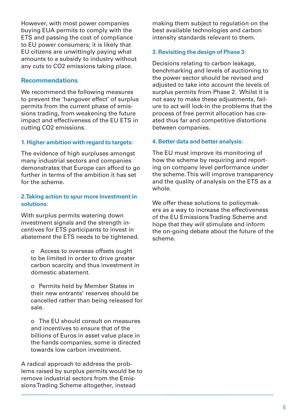However, with most power companies buying EUA permits to comply with the ETS and passing the cost of compliance to EU power consumers; it is likely that EU citizens are unwittingly paying what amounts to a subsidy to industry without any cuts to CO2 emissions taking place.

#### **Recommendations**

We recommend the following measures to prevent the 'hangover effect' of surplus permits from the current phase of emissions trading, from weakening the future impact and effectiveness of the EU ETS in cutting CO2 emissions.

#### **1. Higher ambition with regard to targets:**

The evidence of high surpluses amongst many industrial sectors and companies demonstrates that Europe can afford to go further in terms of the ambition it has set for the scheme.

#### **2. Taking action to spur more investment in solutions:**

With surplus permits watering down investment signals and the strength incentives for ETS participants to invest in abatement the ETS needs to be tightened.

o Access to overseas offsets ought to be limited in order to drive greater carbon scarcity and thus investment in domestic abatement.

o Permits held by Member States in their new entrants' reserves should be cancelled rather than being released for sale.

o The EU should consult on measures and incentives to ensure that of the billions of Euros in asset value place in the hands companies, some is directed towards low carbon investment.

A radical approach to address the problems raised by surplus permits would be to remove industrial sectors from the Emissions Trading Scheme altogether, instead

making them subject to regulation on the best available technologies and carbon intensity standards relevant to them.

#### **3. Revisiting the design of Phase 3:**

Decisions relating to carbon leakage, benchmarking and levels of auctioning to the power sector should be revised and adjusted to take into account the levels of surplus permits from Phase 2. Whilst it is not easy to make these adjustments, failure to act will lock-in the problems that the process of free permit allocation has created thus far and competitive distortions between companies.

#### **4. Better data and better analysis:**

The EU must improve its monitoring of how the scheme by requiring and reporting on company level performance under the scheme. This will improve transparency and the quality of analysis on the ETS as a whole.

We offer these solutions to policymakers as a way to increase the effectiveness of the EU Emissions Trading Scheme and hope that they will stimulate and inform the on-going debate about the future of the scheme.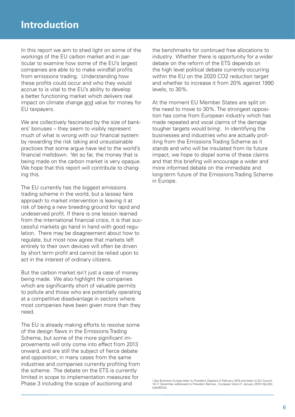In this report we aim to shed light on some of the workings of the EU carbon market and in particular to examine how some of the EU's largest companies are able to to make windfall profits from emissions trading. Understanding how these profits could occur and who they would accrue to is vital to the EU's ability to develop a better functioning market which delivers real impact on climate change and value for money for EU taxpayers.

We are collectively fascinated by the size of bankers' bonuses – they seem to visibly represent much of what is wrong with our financial system by rewarding the risk taking and unsustainable practices that some argue have led to the world's financial meltdown. Yet so far, the money that is being made on the carbon market is very opaque. We hope that this report will contribute to changing this.

The EU currently has the biggest emissions trading scheme in the world, but a laissez faire approach to market intervention is leaving it at risk of being a new breeding ground for rapid and undeserved profit. If there is one lesson learned from the international financial crisis, it is that successful markets go hand in hand with good regulation. There may be disagreement about how to regulate, but most now agree that markets left entirely to their own devices will often be driven by short term profit and cannot be relied upon to act in the interest of ordinary citizens.

But the carbon market isn't just a case of money being made. We also highlight the companies which are significantly short of valuable permits to pollute and those who are potentially operating at a competitive disadvantage in sectors where most companies have been given more than they need.

The EU is already making efforts to resolve some of the design flaws in the Emissions Trading Scheme, but some of the more significant improvements will only come into effect from 2013 onward, and are still the subject of fierce debate and opposition; in many cases from the same industries and companies currently profiting from the scheme. The debate on the ETS is currently limited in scope to implementation measures for Phase 3 including the scope of auctioning and

the benchmarks for continued free allocations to industry. Whether there is opportunity for a wider debate on the reform of the ETS depends on the high level political debate currently occurring within the EU on the 2020 CO2 reduction target and whether to increase it from 20% against 1990 levels, to 30%.

At the moment EU Member States are split on the need to move to 30%. The strongest opposition has come from European industry which has made repeated and vocal claims of the damage tougher targets would bring<sup>i</sup>. In identifying the businesses and industries who are actually profiting from the Emissions Trading Scheme as it stands and who will be insulated from its future impact, we hope to dispel some of these claims and that this briefing will encourage a wider and more informed debate on the immediate and long-term future of the Emissions Trading Scheme in Europe.

i See Business Europe letter to President Zapatero 2 February 2010 and letter to EU Council 10-11 December addressed to President Barroso, European Voice 21 January 2010 http://bit. ly/bXBDUb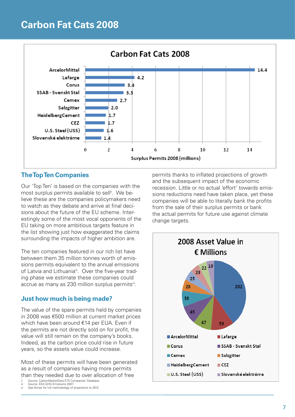## **Carbon Fat Cats 2008**



### **The Top Ten Companies**

Our 'Top Ten' is based on the companies with the most surplus permits available to sell<sup>ii</sup>. We believe these are the companies policymakers need to watch as they debate and arrive at final decisions about the future of the EU scheme. Interestingly some of the most vocal opponents of the EU taking on more ambitious targets feature in the list showing just how exaggerated the claims surrounding the impacts of higher ambition are.

The ten companies featured in our rich list have between them 35 million tonnes worth of emissions permits equivalent to the annual emissions of Latvia and Lithuania<sup>iii</sup>. Over the five-year trading phase we estimate these companies could accrue as many as 230 million surplus permits<sup>iv</sup>.

### **Just how much is being made?**

The value of the spare permits held by companies in 2008 was €500 million at current market prices which have been around €14 per EUA. Even if the permits are not directly sold on for profit, the value will still remain on the company's books. Indeed, as the carbon price could rise in future years, so the assets value could increase.

Most of these permits will have been generated as a result of companies having more permits than they needed due to over allocation of free

- Source: CarbonMarketData ETS Companies' Database Source: EEA GHG Emissions 2007
- See Annex for full methodology of projections to 2012

permits thanks to inflated projections of growth and the subsequent impact of the economic recession. Little or no actual 'effort' towards emissions reductions need have taken place, yet these companies will be able to literally bank the profits from the sale of their surplus permits or bank the actual permits for future use against climate change targets.

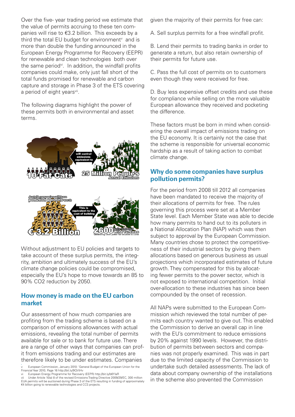Over the five- year trading period we estimate that the value of permits accruing to these ten companies will rise to €3.2 billion. This exceeds by a third the total EU budget for environment<sup>®</sup> and is more than double the funding announced in the European Energy Programme for Recovery (EEPR) for renewable and clean technologies both over the same period<sup>vi</sup>. In addition, the windfall profits companies could make, only just fall short of the total funds promised for renewable and carbon capture and storage in Phase 3 of the ETS covering a period of eight years<sup>vii</sup>.

The following diagrams highlight the power of these permits both in environmental and asset terms.



Without adjustment to EU policies and targets to take account of these surplus permits, the integrity, ambition and ultimately success of the EU's climate change policies could be compromised, especially the EU's hope to move towards an 85 to 90% CO2 reduction by 2050.

**Tham** 

#### **How money is made on the EU carbon market**

Our assessment of how much companies are profiting from the trading scheme is based on a comparison of emissions allowances with actual emissions, revealing the total number of permits available for sale or to bank for future use. There are a range of other ways that companies can profit from emissions trading and our estimates are therefore likely to be under estimates. Companies

given the majority of their permits for free can:

A. Sell surplus permits for a free windfall profit.

B. Lend their permits to trading banks in order to generate a return, but also retain ownership of their permits for future use.

C. Pass the full cost of permits on to customers even though they were received for free.

D. Buy less expensive offset credits and use these for compliance while selling on the more valuable European allowance they received and pocketing the difference.

These factors must be born in mind when considering the overall impact of emissions trading on the EU economy. It is certainly not the case that the scheme is responsible for universal economic hardship as a result of taking action to combat climate change.

### **Why do some companies have surplus pollution permits?**

For the period from 2008 till 2012 all companies have been mandated to receive the majority of their allocations of permits for free. The rules governing this process were set at a Member State level. Each Member State was able to decide how many permits to hand out to its polluters in a National Allocation Plan (NAP) which was then subject to approval by the European Commission. Many countries chose to protect the competitiveness of their industrial sectors by giving them allocations based on generous business as usual projections which incorporated estimates of future growth. They compensated for this by allocating fewer permits to the power sector, which is not exposed to international competition. Initial over-allocation to these industries has since been compounded by the onset of recession.

All NAPs were submitted to the European Commission which reviewed the total number of permits each country wanted to give out. This enabled the Commission to derive an overall cap in line with the EU's commitment to reduce emissions by 20% against 1990 levels. However, the distribution of permits between sectors and companies was not properly examined. This was in part due to the limited capacity of the Commission to undertake such detailed assessments. The lack of data about company ownership of the installations in the scheme also prevented the Commission

European Commission, January 2010: 'General Budget of the European Union for the Financial Year 2010, Page 16 http://bit.ly/9QVtHv vi European Energy Programme for Recovery (EEPR) http://bit.ly/b6YIaR

vii Under Article 10(a) 8 of the revised Emissions Trading Directive 2009/29/EC, 300 million<br>EUA permits will be auctioned during Phase 3 of the ETS resulting in funding of approximately €4 billion going to renewable technologies and CCS projects.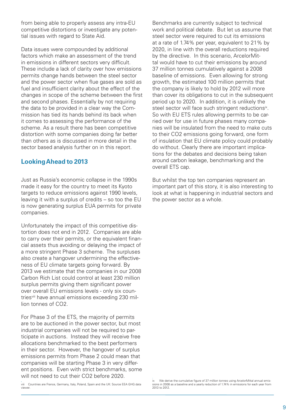from being able to properly assess any intra-EU competitive distortions or investigate any potential issues with regard to State Aid.

Data issues were compounded by additional factors which make an assessment of the trend in emissions in different sectors very difficult. These include a lack of clarity over how emissions permits change hands between the steel sector and the power sector when flue gases are sold as fuel and insufficient clarity about the effect of the changes in scope of the scheme between the first and second phases. Essentially by not requiring the data to be provided in a clear way the Commission has tied its hands behind its back when it comes to assessing the performance of the scheme. As a result there has been competitive distortion with some companies doing far better than others as is discussed in more detail in the sector based analysis further on in this report.

#### **Looking Ahead to 2013**

Just as Russia's economic collapse in the 1990s made it easy for the country to meet its Kyoto targets to reduce emissions against 1990 levels. leaving it with a surplus of credits – so too the EU is now generating surplus EUA permits for private companies.

Unfortunately the impact of this competitive distortion does not end in 2012. Companies are able to carry over their permits, or the equivalent financial assets thus avoiding or delaying the impact of a more stringent Phase 3 scheme. The surpluses also create a hangover undermining the effectiveness of EU climate targets going forward. By 2013 we estimate that the companies in our 2008 Carbon Rich List could control at least 230 million surplus permits giving them significant power over overall EU emissions levels - only six countriesviii have annual emissions exceeding 230 million tonnes of CO2.

For Phase 3 of the ETS, the majority of permits are to be auctioned in the power sector, but most industrial companies will not be required to participate in auctions. Instead they will receive free allocations benchmarked to the best performers in their sector. However, the hangover of surplus emissions permits from Phase 2 could mean that companies will be starting Phase 3 in very different positions. Even with strict benchmarks, some will not need to cut their CO2 before 2020.

viii Countries are France, Germany, Italy, Poland, Spain and the UK: Source EEA GHG data viewer.

Benchmarks are currently subject to technical work and political debate. But let us assume that steel sector were required to cut its emissions at a rate of 1.74% per year, equivalent to 21% by 2020, in line with the overall reductions required by the directive. In this scenario, ArcelorMittal would have to cut their emissions by around 37 million tonnes cumulatively against a 2008 baseline of emissions. Even allowing for strong growth, the estimated 100 million permits that the company is likely to hold by 2012 will more than cover its obligations to cut in the subsequent period up to 2020. In addition, it is unlikely the steel sector will face such stringent reductions<sup>ix</sup>. So with EU ETS rules allowing permits to be carried over for use in future phases many companies will be insulated from the need to make cuts to their CO2 emissions going forward, one form of insulation that EU climate policy could probably do without. Clearly there are important implications for the debates and decisions being taken around carbon leakage, benchmarking and the overall ETS cap.

But whilst the top ten companies represent an important part of this story, it is also interesting to look at what is happening in industrial sectors and the power sector as a whole.

We derive the cumulative figure of 37 million tonnes using ArcelorMittal annual emissions in 2008 as a baseline and a yearly reduction of 1.74% in emissions for each year from 2013 to 2012.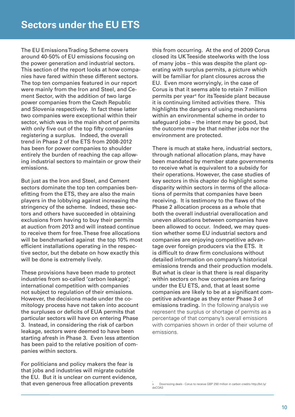The EU Emissions Trading Scheme covers around 40-50% of EU emissions focusing on the power generation and industrial sectors. This section of the report looks at how companies have fared within these different sectors. The top ten companies featured in our report were mainly from the Iron and Steel, and Cement Sector, with the addition of two large power companies from the Czech Republic and Slovenia respectively. In fact these latter two companies were exceptional within their sector, which was in the main short of permits with only five out of the top fifty companies registering a surplus. Indeed, the overall trend in Phase 2 of the ETS from 2008-2012 has been for power companies to shoulder entirely the burden of reaching the cap allowing industrial sectors to maintain or grow their emissions.

But just as the Iron and Steel, and Cement sectors dominate the top ten companies benefitting from the ETS, they are also the main players in the lobbying against increasing the stringency of the scheme. Indeed, these sectors and others have succeeded in obtaining exclusions from having to buy their permits at auction from 2013 and will instead continue to receive them for free. These free allocations will be benchmarked against the top 10% most efficient installations operating in the respective sector, but the debate on how exactly this will be done is extremely lively.

These provisions have been made to protect industries from so-called 'carbon leakage'; international competition with companies not subject to regulation of their emissions. However, the decisions made under the comitology process have not taken into account the surpluses or deficits of EUA permits that particular sectors will have on entering Phase 3. Instead, in considering the risk of carbon leakage, sectors were deemed to have been starting afresh in Phase 3. Even less attention has been paid to the relative position of companies within sectors.

For politicians and policy makers the fear is that jobs and industries will migrate outside the EU. But it is unclear on current evidence, that even generous free allocation prevents

this from occurring. At the end of 2009 Corus closed its UK Teeside steelworks with the loss of many jobs – this was despite the plant operating with surplus permits, a picture which will be familiar for plant closures across the EU. Even more worryingly, in the case of Corus is that it seems able to retain 7 million permits per year<sup>x</sup> for its Teeside plant because it is continuing limited activities there. This highlights the dangers of using mechanisms within an environmental scheme in order to safeguard jobs – the intent may be good, but the outcome may be that neither jobs nor the environment are protected.

There is much at stake here, industrial sectors, through national allocation plans, may have been mandated by member state governments to receive what is equivalent to a subsidy for their operations. However, the case studies of key sectors in this chapter do highlight some disparity within sectors in terms of the allocations of permits that companies have been receiving. It is testimony to the flaws of the Phase 2 allocation process as a whole that both the overall industrial overallocation and uneven allocations between companies have been allowed to occur. Indeed, we may question whether some EU industrial sectors and companies are enjoying competitive advantage over foreign producers via the ETS. It is difficult to draw firm conclusions without detailed information on company's historical emissions trends and their production models. But what is clear is that there is real disparity within sectors on how companies are faring under the EU ETS, and, that at least some companies are likely to be at a significant competitive advantage as they enter Phase 3 of emissions trading. In the following analysis we represent the surplus or shortage of permits as a percentage of that company's overall emissions with companies shown in order of their volume of emissions.

x Downsizing deals - Corus to receive GBP 250 million in carbon credits http://bit.ly/ dsCOA3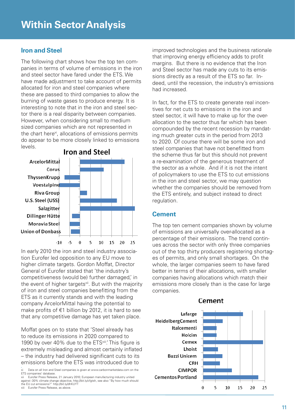### **Iron and Steel**

The following chart shows how the top ten companies in terms of volume of emissions in the iron and steel sector have fared under the ETS. We have made adjustment to take account of permits allocated for iron and steel companies where these are passed to third companies to allow the burning of waste gases to produce energy. It is interesting to note that in the iron and steel sector there is a real disparity between companies. However, when considering small to medium sized companies which are not represented in the chart here<sup>xi</sup>, allocations of emissions permits do appear to be more closely linked to emissions levels.



In early 2010 the iron and steel industry association Eurofer led opposition to any EU move to higher climate targets. Gordon Moffat, Director General of Eurofer stated that 'the industry's competitiveness (would be) further damaged,' in the event of higher targets<sup>xii</sup>. But with the majority of iron and steel companies benefitting from the ETS as it currently stands and with the leading company ArcelorMittal having the potential to make profits of €1 billion by 2012, it is hard to see that any competitive damage has yet taken place.

Moffat goes on to state that 'Steel already has to reduce its emissions in 2020 compared to 1990 by over 40% due to the ETS<sup>xiii</sup>.' This figure is extremely misleading and almost certainly inflated – the industry had delivered significant cuts to its emissions before the ETS was introduced due to

against -30% climate change objective, http://bit.ly/cfgtsh, see also "By how much should the EU cut emissions?" http://bit.ly/dhKUYT

Eurofer Press Release, as above.

improved technologies and the business rationale that improving energy efficiency adds to profit margins. But there is no evidence that the Iron and Steel sector has made any cuts to its emissions directly as a result of the ETS so far. Indeed, until the recession, the industry's emissions had increased.

In fact, for the ETS to create generate real incentives for net cuts to emissions in the iron and steel sector, it will have to make up for the overallocation to the sector thus far which has been compounded by the recent recession by mandating much greater cuts in the period from 2013 to 2020. Of course there will be some iron and steel companies that have not benefitted from the scheme thus far but this should not prevent a re-examination of the generous treatment of the sector as a whole. And if it is not the intent of policymakers to use the ETS to cut emissions in the iron and steel sector, we may question whether the companies should be removed from the ETS entirely, and subject instead to direct regulation.

#### **Cement**

The top ten cement companies shown by volume of emissions are universally over-allocated as a percentage of their emissions. The trend continues across the sector with only three companies out of the top thirty producers registering shortages of permits, and only small shortages. On the whole, the larger companies seem to have fared better in terms of their allocations, with smaller companies having allocations which match their emissions more closely than is the case for large companies.



Cement

Data on all Iron and Steel companies is given at www.carbonmarketdata.com on the ETS companies' database. xii Eurofer Press Release, 21 January 2010; European manufacturing industry united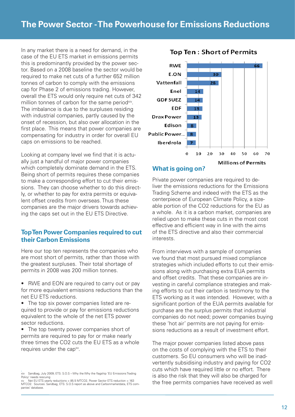In any market there is a need for demand, in the case of the EU ETS market in emissions permits this is predominantly provided by the power sector. Based on a 2008 baseline the sector would be required to make net cuts of a further 652 million tonnes of carbon to comply with the emissions cap for Phase 2 of emissions trading. However, overall the ETS would only require net cuts of 342 million tonnes of carbon for the same periodxiv. The imbalance is due to the surpluses residing with industrial companies, partly caused by the onset of recession, but also over allocation in the first place. This means that power companies are compensating for industry in order for overall EU caps on emissions to be reached.

Looking at company level we find that it is actually just a handful of major power companies which completely dominate demand in the ETS. Being short of permits requires these companies to make a corresponding effort to cut their emissions. They can choose whether to do this directly, or whether to pay for extra permits or equivalent offset credits from overseas. Thus these companies are the major drivers towards achieving the caps set out in the EU ETS Directive.

### **Top Ten Power Companies required to cut their Carbon Emissions**

Here our top ten represents the companies who are most short of permits, rather than those with the greatest surpluses. Their total shortage of permits in 2008 was 200 million tonnes.

- RWE and EON are required to carry out or pay for more equivalent emissions reductions than the net EU ETS reductions.
- The top six power companies listed are required to provide or pay for emissions reductions equivalent to the whole of the net ETS power sector reductions.
- The top twenty power companies short of permits are required to pay for or make nearly three times the CO2 cuts the EU ETS as a whole requires under the cap<sup>xv</sup>.



#### **Top Ten: Short of Permits**

#### **What is going on?**

Private power companies are required to deliver the emissions reductions for the Emissions Trading Scheme and indeed with the ETS as the centerpiece of European Climate Policy, a sizeable portion of the CO2 reductions for the EU as a whole. As it is a carbon market, companies are relied upon to make these cuts in the most cost effective and efficient way in line with the aims of the ETS directive and also their commercial interests.

From interviews with a sample of companies we found that most pursued mixed compliance strategies which included efforts to cut their emissions along with purchasing extra EUA permits and offset credits. That these companies are investing in careful compliance strategies and making efforts to cut their carbon is testimony to the ETS working as it was intended. However, with a significant portion of the EUA permits available for purchase are the surplus permits that industrial companies do not need; power companies buying these 'hot air' permits are not paying for emissions reductions as a result of investment effort.

The major power companies listed above pass on the costs of complying with the ETS to their customers. So EU consumers who will be inadvertently subsidising industry and paying for CO2 cuts which have required little or no effort. There is also the risk that they will also be charged for the free permits companies have received as well

xiv Sandbag, July 2009; ETS: S.O.S – Why the Why the flagship 'EU Emissions Trading Policy' needs rescuing

Net EU ETS yearly reductions =  $85.5$  MTCO2, Power Sector ETS reduction =  $163$ MTCO2. Sources: Sandbag, ETS: S.O.S report as above and Carbonmarketdata, ETS companies' database.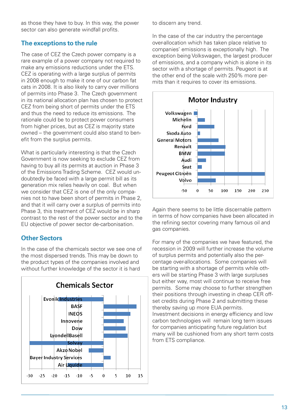as those they have to buy. In this way, the power sector can also generate windfall profits.

## **The exceptions to the rule**

The case of CEZ the Czech power company is a rare example of a power company not required to make any emissions reductions under the ETS. CEZ is operating with a large surplus of permits in 2008 enough to make it one of our carbon fat cats in 2008. It is also likely to carry over millions of permits into Phase 3. The Czech government in its national allocation plan has chosen to protect CEZ from being short of permits under the ETS and thus the need to reduce its emissions. The rationale could be to protect power consumers from higher prices, but as CEZ is majority state owned – the government could also stand to benefit from the surplus permits.

What is particularly interesting is that the Czech Government is now seeking to exclude CEZ from having to buy all its permits at auction in Phase 3 of the Emissions Trading Scheme. CEZ would undoubtedly be faced with a large permit bill as its generation mix relies heavily on coal. But when we consider that CEZ is one of the only companies not to have been short of permits in Phase 2, and that it will carry over a surplus of permits into Phase 3, this treatment of CEZ would be in sharp contrast to the rest of the power sector and to the EU objective of power sector de-carbonisation.

## **Other Sectors**

In the case of the chemicals sector we see one of the most dispersed trends. This may be down to the product types of the companies involved and without further knowledge of the sector it is hard



to discern any trend.

In the case of the car industry the percentage over-allocation which has taken place relative to companies' emissions is exceptionally high. The exception being Volkswagen, the largest producer of emissions, and a company which is alone in its sector with a shortage of permits. Peugeot is at the other end of the scale with 250% more permits than it requires to cover its emissions.



Again there seems to be little discernable pattern in terms of how companies have been allocated in the refining sector covering many famous oil and gas companies.

For many of the companies we have featured, the recession in 2009 will further increase the volume of surplus permits and potentially also the percentage over-allocations. Some companies will be starting with a shortage of permits while others will be starting Phase 3 with large surpluses but either way, most will continue to receive free permits. Some may choose to further strengthen their positions through investing in cheap CER offset credits during Phase 2 and submitting these thereby saving up more EUA permits. Investment decisions in energy efficiency and low carbon technologies will remain long term issues for companies anticipating future regulation but many will be cushioned from any short term costs from ETS compliance.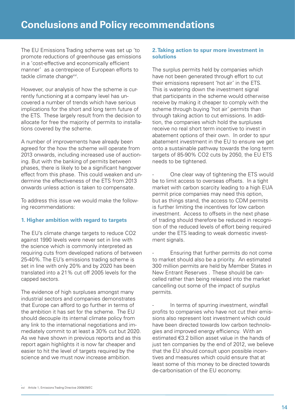The EU Emissions Trading scheme was set up 'to promote reductions of greenhouse gas emissions in a 'cost-effective and economically efficient manner' as a centrepiece of European efforts to tackle climate changexvi.

However, our analysis of how the scheme is currently functioning at a company level has uncovered a number of trends which have serious implications for the short and long term future of the ETS. These largely result from the decision to allocate for free the majority of permits to installations covered by the scheme.

A number of improvements have already been agreed for the how the scheme will operate from 2013 onwards, including increased use of auctioning. But with the banking of permits between phases, there is likely to be a significant hangover effect from this phase. This could weaken and undermine the effectiveness of the ETS from 2013 onwards unless action is taken to compensate.

To address this issue we would make the following recommendations:

#### **1. Higher ambition with regard to targets**

The EU's climate change targets to reduce CO2 against 1990 levels were never set in line with the science which is commonly interpreted as requiring cuts from developed nations of between 25-40%. The EU's emissions trading scheme is set in line with only 20% and by 2020 has been translated into a 21% cut off 2005 levels for the capped sectors.

The evidence of high surpluses amongst many industrial sectors and companies demonstrates that Europe can afford to go further in terms of the ambition it has set for the scheme. The EU should decouple its internal climate policy from any link to the international negotiations and immediately commit to at least a 30% cut but 2020. As we have shown in previous reports and as this report again highlights it is now far cheaper and easier to hit the level of targets required by the science and we must now increase ambition.

#### **2. Taking action to spur more investment in solutions**

The surplus permits held by companies which have not been generated through effort to cut their emissions represent 'hot air' in the ETS. This is watering down the investment signal that participants in the scheme would otherwise receive by making it cheaper to comply with the scheme through buying 'hot air' permits than through taking action to cut emissions. In addition, the companies which hold the surpluses receive no real short term incentive to invest in abatement options of their own. In order to spur abatement investment in the EU to ensure we get onto a sustainable pathway towards the long term targets of 85-90% CO2 cuts by 2050, the EU ETS needs to be tightened.

One clear way of tightening the ETS would be to limit access to overseas offsets. In a tight market with carbon scarcity leading to a high EUA permit price companies may need this option, but as things stand, the access to CDM permits is further limiting the incentives for low carbon investment. Access to offsets in the next phase of trading should therefore be reduced in recognition of the reduced levels of effort being required under the ETS leading to weak domestic investment signals.

Ensuring that further permits do not come to market should also be a priority. An estimated 300 million permits are held by Member States in New Entrant Reserves . These should be cancelled rather than being released into the market cancelling out some of the impact of surplus permits.

In terms of spurring investment, windfall profits to companies who have not cut their emissions also represent lost investment which could have been directed towards low carbon technologies and improved energy efficiency. With an estimated €3.2 billion asset value in the hands of just ten companies by the end of 2012, we believe that the EU should consult upon possible incentives and measures which could ensure that at least some of this money to be directed towards de-carbonisation of the EU economy.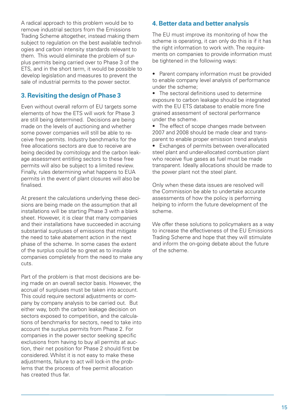A radical approach to this problem would be to remove industrial sectors from the Emissions Trading Scheme altogether, instead making them subject to regulation on the best available technologies and carbon intensity standards relevant to them. This would eliminate the problem of surplus permits being carried over to Phase 3 of the ETS, and in the short term, it would be possible to develop legislation and measures to prevent the sale of industrial permits to the power sector.

## **3. Revisiting the design of Phase 3**

Even without overall reform of EU targets some elements of how the ETS will work for Phase 3 are still being determined. Decisions are being made on the levels of auctioning and whether some power companies will still be able to receive free permits. Industry benchmarks for the free allocations sectors are due to receive are being decided by comitology and the carbon leakage assessment entitling sectors to these free permits will also be subject to a limited review. Finally, rules determining what happens to EUA permits in the event of plant closures will also be finalised.

At present the calculations underlying these decisions are being made on the assumption that all installations will be starting Phase 3 with a blank sheet. However, it is clear that many companies and their installations have succeeded in accruing substantial surpluses of emissions that mitigate the need to take abatement action in the next phase of the scheme. In some cases the extent of the surplus could be so great as to insulate companies completely from the need to make any cuts.

Part of the problem is that most decisions are being made on an overall sector basis. However, the accrual of surpluses must be taken into account. This could require sectoral adjustments or company by company analysis to be carried out. But either way, both the carbon leakage decision on sectors exposed to competition, and the calculations of benchmarks for sectors, need to take into account the surplus permits from Phase 2. For companies in the power sector seeking specific exclusions from having to buy all permits at auction, their net position for Phase 2 should first be considered. Whilst it is not easy to make these adjustments, failure to act will lock-in the problems that the process of free permit allocation has created thus far.

#### **4. Better data and better analysis**

The EU must improve its monitoring of how the scheme is operating, it can only do this is if it has the right information to work with. The requirements on companies to provide information must be tightened in the following ways:

- Parent company information must be provided to enable company level analysis of performance under the scheme;
- The sectoral definitions used to determine exposure to carbon leakage should be integrated with the EU ETS database to enable more fine grained assessment of sectoral performance under the scheme.
- The effect of scope changes made between 2007 and 2008 should be made clear and transparent to enable proper emission trend analysis • Exchanges of permits between over-allocated steel plant and under-allocated combustion plant who receive flue gases as fuel must be made transparent. Ideally allocations should be made to the power plant not the steel plant.

Only when these data issues are resolved will the Commission be able to undertake accurate assessments of how the policy is performing helping to inform the future development of the scheme.

We offer these solutions to policymakers as a way to increase the effectiveness of the EU Emissions Trading Scheme and hope that they will stimulate and inform the on-going debate about the future of the scheme.